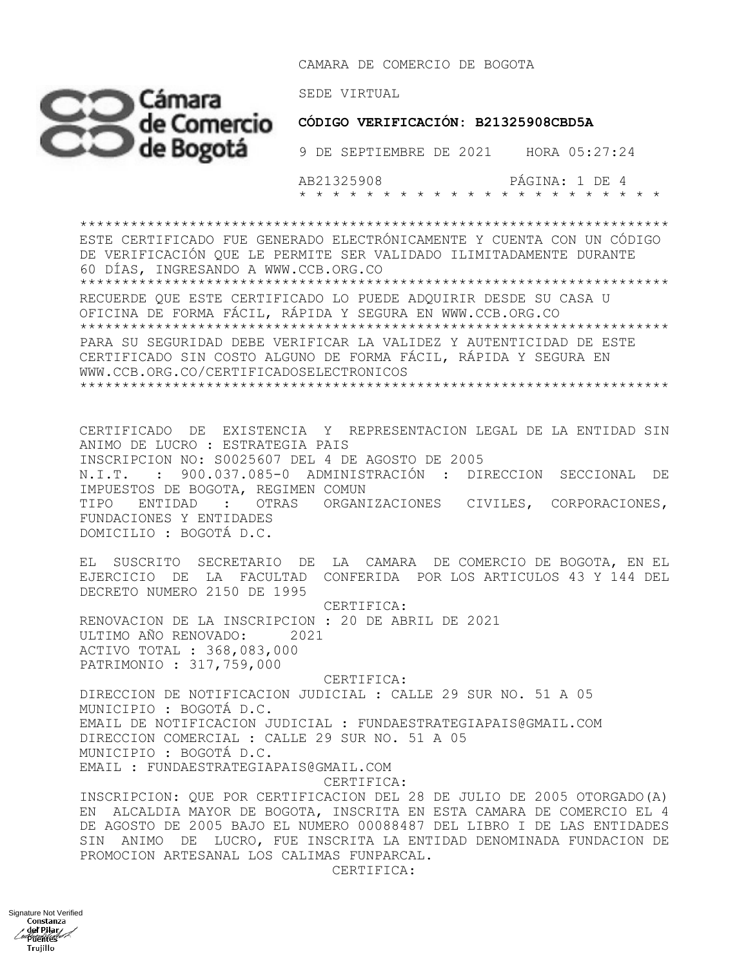CAMARA DE COMERCIO DE BOGOTA



9 DE SEPTIEMBRE DE 2021 HORA 05:27:24

 AB21325908 PÁGINA: 1 DE 4 \* \* \* \* \* \* \* \* \* \* \* \* \* \* \* \* \* \* \* \* \* \*

\*\*\*\*\*\*\*\*\*\*\*\*\*\*\*\*\*\*\*\*\*\*\*\*\*\*\*\*\*\*\*\*\*\*\*\*\*\*\*\*\*\*\*\*\*\*\*\*\*\*\*\*\*\*\*\*\*\*\*\*\*\*\*\*\*\*\*\*\*\* ESTE CERTIFICADO FUE GENERADO ELECTRÓNICAMENTE Y CUENTA CON UN CÓDIGO DE VERIFICACIÓN QUE LE PERMITE SER VALIDADO ILIMITADAMENTE DURANTE 60 DÍAS, INGRESANDO A WWW.CCB.ORG.CO \*\*\*\*\*\*\*\*\*\*\*\*\*\*\*\*\*\*\*\*\*\*\*\*\*\*\*\*\*\*\*\*\*\*\*\*\*\*\*\*\*\*\*\*\*\*\*\*\*\*\*\*\*\*\*\*\*\*\*\*\*\*\*\*\*\*\*\*\*\* RECUERDE QUE ESTE CERTIFICADO LO PUEDE ADQUIRIR DESDE SU CASA U OFICINA DE FORMA FÁCIL, RÁPIDA Y SEGURA EN WWW.CCB.ORG.CO \*\*\*\*\*\*\*\*\*\*\*\*\*\*\*\*\*\*\*\*\*\*\*\*\*\*\*\*\*\*\*\*\*\*\*\*\*\*\*\*\*\*\*\*\*\*\*\*\*\*\*\*\*\*\*\*\*\*\*\*\*\*\*\*\*\*\*\*\*\* PARA SU SEGURIDAD DEBE VERIFICAR LA VALIDEZ Y AUTENTICIDAD DE ESTE CERTIFICADO SIN COSTO ALGUNO DE FORMA FÁCIL, RÁPIDA Y SEGURA EN WWW.CCB.ORG.CO/CERTIFICADOSELECTRONICOS \*\*\*\*\*\*\*\*\*\*\*\*\*\*\*\*\*\*\*\*\*\*\*\*\*\*\*\*\*\*\*\*\*\*\*\*\*\*\*\*\*\*\*\*\*\*\*\*\*\*\*\*\*\*\*\*\*\*\*\*\*\*\*\*\*\*\*\*\*\*

CERTIFICADO DE EXISTENCIA Y REPRESENTACION LEGAL DE LA ENTIDAD SIN ANIMO DE LUCRO : ESTRATEGIA PAIS INSCRIPCION NO: S0025607 DEL 4 DE AGOSTO DE 2005 N.I.T. : 900.037.085-0 ADMINISTRACIÓN : DIRECCION SECCIONAL DE IMPUESTOS DE BOGOTA, REGIMEN COMUN TIPO ENTIDAD : OTRAS ORGANIZACIONES CIVILES, CORPORACIONES, FUNDACIONES Y ENTIDADES DOMICILIO : BOGOTÁ D.C.

EL SUSCRITO SECRETARIO DE LA CAMARA DE COMERCIO DE BOGOTA, EN EL EJERCICIO DE LA FACULTAD CONFERIDA POR LOS ARTICULOS 43 Y 144 DEL DECRETO NUMERO 2150 DE 1995

 CERTIFICA: RENOVACION DE LA INSCRIPCION : 20 DE ABRIL DE 2021 ULTIMO AÑO RENOVADO: 2021 ACTIVO TOTAL : 368,083,000 PATRIMONIO : 317,759,000 CERTIFICA:

DIRECCION DE NOTIFICACION JUDICIAL : CALLE 29 SUR NO. 51 A 05 MUNICIPIO : BOGOTÁ D.C. EMAIL DE NOTIFICACION JUDICIAL : FUNDAESTRATEGIAPAIS@GMAIL.COM DIRECCION COMERCIAL : CALLE 29 SUR NO. 51 A 05 MUNICIPIO : BOGOTÁ D.C. EMAIL : FUNDAESTRATEGIAPAIS@GMAIL.COM

CERTIFICA:

INSCRIPCION: QUE POR CERTIFICACION DEL 28 DE JULIO DE 2005 OTORGADO(A) EN ALCALDIA MAYOR DE BOGOTA, INSCRITA EN ESTA CAMARA DE COMERCIO EL 4 DE AGOSTO DE 2005 BAJO EL NUMERO 00088487 DEL LIBRO I DE LAS ENTIDADES SIN ANIMO DE LUCRO, FUE INSCRITA LA ENTIDAD DENOMINADA FUNDACION DE PROMOCION ARTESANAL LOS CALIMAS FUNPARCAL.

CERTIFICA: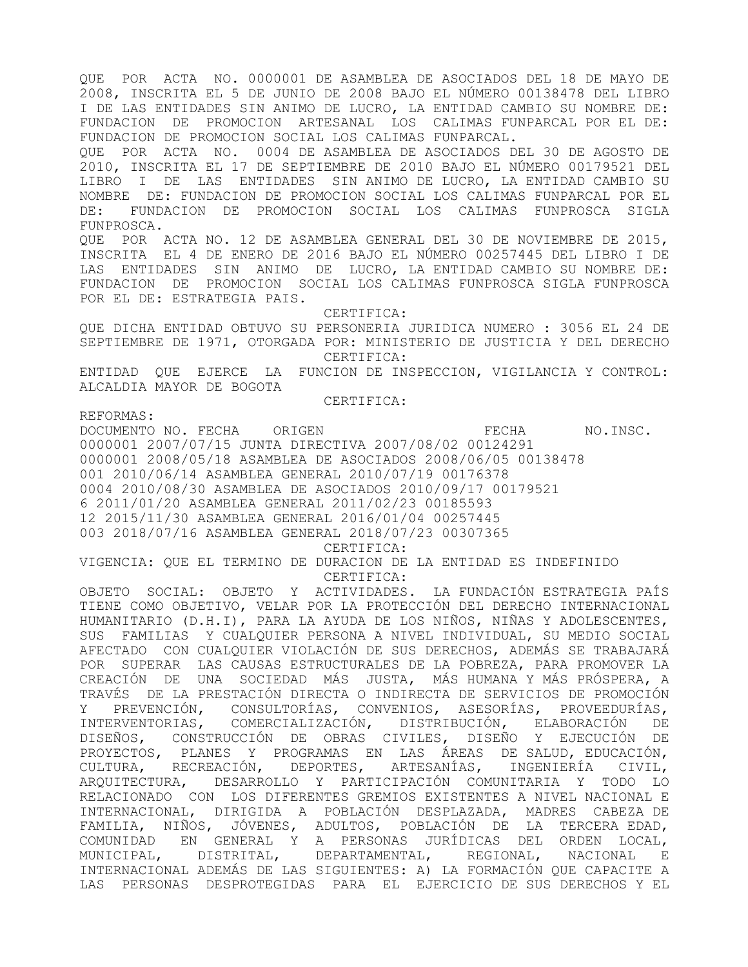QUE POR ACTA NO. 0000001 DE ASAMBLEA DE ASOCIADOS DEL 18 DE MAYO DE 2008, INSCRITA EL 5 DE JUNIO DE 2008 BAJO EL NÚMERO 00138478 DEL LIBRO I DE LAS ENTIDADES SIN ANIMO DE LUCRO, LA ENTIDAD CAMBIO SU NOMBRE DE: FUNDACION DE PROMOCION ARTESANAL LOS CALIMAS FUNPARCAL POR EL DE: FUNDACION DE PROMOCION SOCIAL LOS CALIMAS FUNPARCAL.

QUE POR ACTA NO. 0004 DE ASAMBLEA DE ASOCIADOS DEL 30 DE AGOSTO DE 2010, INSCRITA EL 17 DE SEPTIEMBRE DE 2010 BAJO EL NÚMERO 00179521 DEL LIBRO I DE LAS ENTIDADES SIN ANIMO DE LUCRO, LA ENTIDAD CAMBIO SU NOMBRE DE: FUNDACION DE PROMOCION SOCIAL LOS CALIMAS FUNPARCAL POR EL DE: FUNDACION DE PROMOCION SOCIAL LOS CALIMAS FUNPROSCA SIGLA FUNPROSCA.

QUE POR ACTA NO. 12 DE ASAMBLEA GENERAL DEL 30 DE NOVIEMBRE DE 2015, INSCRITA EL 4 DE ENERO DE 2016 BAJO EL NÚMERO 00257445 DEL LIBRO I DE LAS ENTIDADES SIN ANIMO DE LUCRO, LA ENTIDAD CAMBIO SU NOMBRE DE: FUNDACION DE PROMOCION SOCIAL LOS CALIMAS FUNPROSCA SIGLA FUNPROSCA POR EL DE: ESTRATEGIA PAIS.

 CERTIFICA: QUE DICHA ENTIDAD OBTUVO SU PERSONERIA JURIDICA NUMERO : 3056 EL 24 DE SEPTIEMBRE DE 1971, OTORGADA POR: MINISTERIO DE JUSTICIA Y DEL DERECHO CERTIFICA:

ENTIDAD QUE EJERCE LA FUNCION DE INSPECCION, VIGILANCIA Y CONTROL: ALCALDIA MAYOR DE BOGOTA

CERTIFICA:

# REFORMAS:

DOCUMENTO NO. FECHA ORIGEN **EXAMPLE SECHA NO.INSC.** 0000001 2007/07/15 JUNTA DIRECTIVA 2007/08/02 00124291 0000001 2008/05/18 ASAMBLEA DE ASOCIADOS 2008/06/05 00138478 001 2010/06/14 ASAMBLEA GENERAL 2010/07/19 00176378 0004 2010/08/30 ASAMBLEA DE ASOCIADOS 2010/09/17 00179521 6 2011/01/20 ASAMBLEA GENERAL 2011/02/23 00185593 12 2015/11/30 ASAMBLEA GENERAL 2016/01/04 00257445 003 2018/07/16 ASAMBLEA GENERAL 2018/07/23 00307365

CERTIFICA:

VIGENCIA: QUE EL TERMINO DE DURACION DE LA ENTIDAD ES INDEFINIDO CERTIFICA:

OBJETO SOCIAL: OBJETO Y ACTIVIDADES. LA FUNDACIÓN ESTRATEGIA PAÍS TIENE COMO OBJETIVO, VELAR POR LA PROTECCIÓN DEL DERECHO INTERNACIONAL HUMANITARIO (D.H.I), PARA LA AYUDA DE LOS NIÑOS, NIÑAS Y ADOLESCENTES, SUS FAMILIAS Y CUALQUIER PERSONA A NIVEL INDIVIDUAL, SU MEDIO SOCIAL AFECTADO CON CUALQUIER VIOLACIÓN DE SUS DERECHOS, ADEMÁS SE TRABAJARÁ POR SUPERAR LAS CAUSAS ESTRUCTURALES DE LA POBREZA, PARA PROMOVER LA CREACIÓN DE UNA SOCIEDAD MÁS JUSTA, MÁS HUMANA Y MÁS PRÓSPERA, A TRAVÉS DE LA PRESTACIÓN DIRECTA O INDIRECTA DE SERVICIOS DE PROMOCIÓN Y PREVENCIÓN, CONSULTORÍAS, CONVENIOS, ASESORÍAS, PROVEEDURÍAS, INTERVENTORIAS, COMERCIALIZACIÓN, DISTRIBUCIÓN, ELABORACIÓN DE DISEÑOS, CONSTRUCCIÓN DE OBRAS CIVILES, DISEÑO Y EJECUCIÓN DE PROYECTOS, PLANES Y PROGRAMAS EN LAS ÁREAS DE SALUD, EDUCACIÓN, CULTURA, RECREACIÓN, DEPORTES, ARTESANÍAS, INGENIERÍA CIVIL, ARQUITECTURA, DESARROLLO Y PARTICIPACIÓN COMUNITARIA Y TODO LO RELACIONADO CON LOS DIFERENTES GREMIOS EXISTENTES A NIVEL NACIONAL E INTERNACIONAL, DIRIGIDA A POBLACIÓN DESPLAZADA, MADRES CABEZA DE FAMILIA, NIÑOS, JÓVENES, ADULTOS, POBLACIÓN DE LA TERCERA EDAD, COMUNIDAD EN GENERAL Y A PERSONAS JURÍDICAS DEL ORDEN LOCAL, MUNICIPAL, DISTRITAL, DEPARTAMENTAL, REGIONAL, NACIONAL E INTERNACIONAL ADEMÁS DE LAS SIGUIENTES: A) LA FORMACIÓN QUE CAPACITE A LAS PERSONAS DESPROTEGIDAS PARA EL EJERCICIO DE SUS DERECHOS Y EL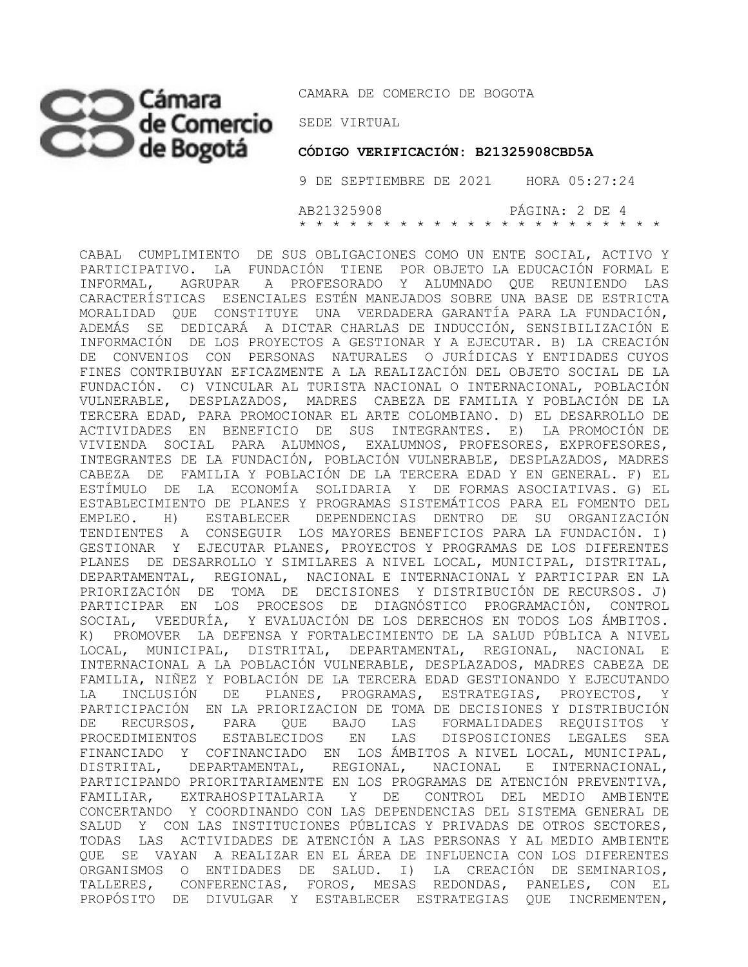# CO Cámara CAMARA DE COI

CAMARA DE COMERCIO DE BOGOTA

 **CÓDIGO VERIFICACIÓN: B21325908CBD5A**

 9 DE SEPTIEMBRE DE 2021 HORA 05:27:24 AB21325908 PÁGINA: 2 DE 4 \* \* \* \* \* \* \* \* \* \* \* \* \* \* \* \* \* \* \* \* \* \*

CABAL CUMPLIMIENTO DE SUS OBLIGACIONES COMO UN ENTE SOCIAL, ACTIVO Y PARTICIPATIVO. LA FUNDACIÓN TIENE POR OBJETO LA EDUCACIÓN FORMAL E INFORMAL, AGRUPAR A PROFESORADO Y ALUMNADO QUE REUNIENDO LAS CARACTERÍSTICAS ESENCIALES ESTÉN MANEJADOS SOBRE UNA BASE DE ESTRICTA MORALIDAD QUE CONSTITUYE UNA VERDADERA GARANTÍA PARA LA FUNDACIÓN, ADEMÁS SE DEDICARÁ A DICTAR CHARLAS DE INDUCCIÓN, SENSIBILIZACIÓN E INFORMACIÓN DE LOS PROYECTOS A GESTIONAR Y A EJECUTAR. B) LA CREACIÓN DE CONVENIOS CON PERSONAS NATURALES O JURÍDICAS Y ENTIDADES CUYOS FINES CONTRIBUYAN EFICAZMENTE A LA REALIZACIÓN DEL OBJETO SOCIAL DE LA FUNDACIÓN. C) VINCULAR AL TURISTA NACIONAL O INTERNACIONAL, POBLACIÓN VULNERABLE, DESPLAZADOS, MADRES CABEZA DE FAMILIA Y POBLACIÓN DE LA TERCERA EDAD, PARA PROMOCIONAR EL ARTE COLOMBIANO. D) EL DESARROLLO DE ACTIVIDADES EN BENEFICIO DE SUS INTEGRANTES. E) LA PROMOCIÓN DE VIVIENDA SOCIAL PARA ALUMNOS, EXALUMNOS, PROFESORES, EXPROFESORES, INTEGRANTES DE LA FUNDACIÓN, POBLACIÓN VULNERABLE, DESPLAZADOS, MADRES CABEZA DE FAMILIA Y POBLACIÓN DE LA TERCERA EDAD Y EN GENERAL. F) EL ESTÍMULO DE LA ECONOMÍA SOLIDARIA Y DE FORMAS ASOCIATIVAS. G) EL ESTABLECIMIENTO DE PLANES Y PROGRAMAS SISTEMÁTICOS PARA EL FOMENTO DEL EMPLEO. H) ESTABLECER DEPENDENCIAS DENTRO DE SU ORGANIZACIÓN TENDIENTES A CONSEGUIR LOS MAYORES BENEFICIOS PARA LA FUNDACIÓN. I) GESTIONAR Y EJECUTAR PLANES, PROYECTOS Y PROGRAMAS DE LOS DIFERENTES PLANES DE DESARROLLO Y SIMILARES A NIVEL LOCAL, MUNICIPAL, DISTRITAL, DEPARTAMENTAL, REGIONAL, NACIONAL E INTERNACIONAL Y PARTICIPAR EN LA PRIORIZACIÓN DE TOMA DE DECISIONES Y DISTRIBUCIÓN DE RECURSOS. J) PARTICIPAR EN LOS PROCESOS DE DIAGNÓSTICO PROGRAMACIÓN, CONTROL SOCIAL, VEEDURÍA, Y EVALUACIÓN DE LOS DERECHOS EN TODOS LOS ÁMBITOS. K) PROMOVER LA DEFENSA Y FORTALECIMIENTO DE LA SALUD PÚBLICA A NIVEL LOCAL, MUNICIPAL, DISTRITAL, DEPARTAMENTAL, REGIONAL, NACIONAL E INTERNACIONAL A LA POBLACIÓN VULNERABLE, DESPLAZADOS, MADRES CABEZA DE FAMILIA, NIÑEZ Y POBLACIÓN DE LA TERCERA EDAD GESTIONANDO Y EJECUTANDO LA INCLUSIÓN DE PLANES, PROGRAMAS, ESTRATEGIAS, PROYECTOS, Y PARTICIPACIÓN EN LA PRIORIZACION DE TOMA DE DECISIONES Y DISTRIBUCIÓN DE RECURSOS, PARA QUE BAJO LAS FORMALIDADES REQUISITOS Y PROCEDIMIENTOS ESTABLECIDOS EN LAS DISPOSICIONES LEGALES SEA FINANCIADO Y COFINANCIADO EN LOS ÁMBITOS A NIVEL LOCAL, MUNICIPAL, DISTRITAL, DEPARTAMENTAL, REGIONAL, NACIONAL E INTERNACIONAL, PARTICIPANDO PRIORITARIAMENTE EN LOS PROGRAMAS DE ATENCIÓN PREVENTIVA, FAMILIAR, EXTRAHOSPITALARIA Y DE CONTROL DEL MEDIO AMBIENTE CONCERTANDO Y COORDINANDO CON LAS DEPENDENCIAS DEL SISTEMA GENERAL DE SALUD Y CON LAS INSTITUCIONES PÚBLICAS Y PRIVADAS DE OTROS SECTORES, TODAS LAS ACTIVIDADES DE ATENCIÓN A LAS PERSONAS Y AL MEDIO AMBIENTE QUE SE VAYAN A REALIZAR EN EL ÁREA DE INFLUENCIA CON LOS DIFERENTES ORGANISMOS O ENTIDADES DE SALUD. I) LA CREACIÓN DE SEMINARIOS, TALLERES, CONFERENCIAS, FOROS, MESAS REDONDAS, PANELES, CON EL PROPÓSITO DE DIVULGAR Y ESTABLECER ESTRATEGIAS QUE INCREMENTEN,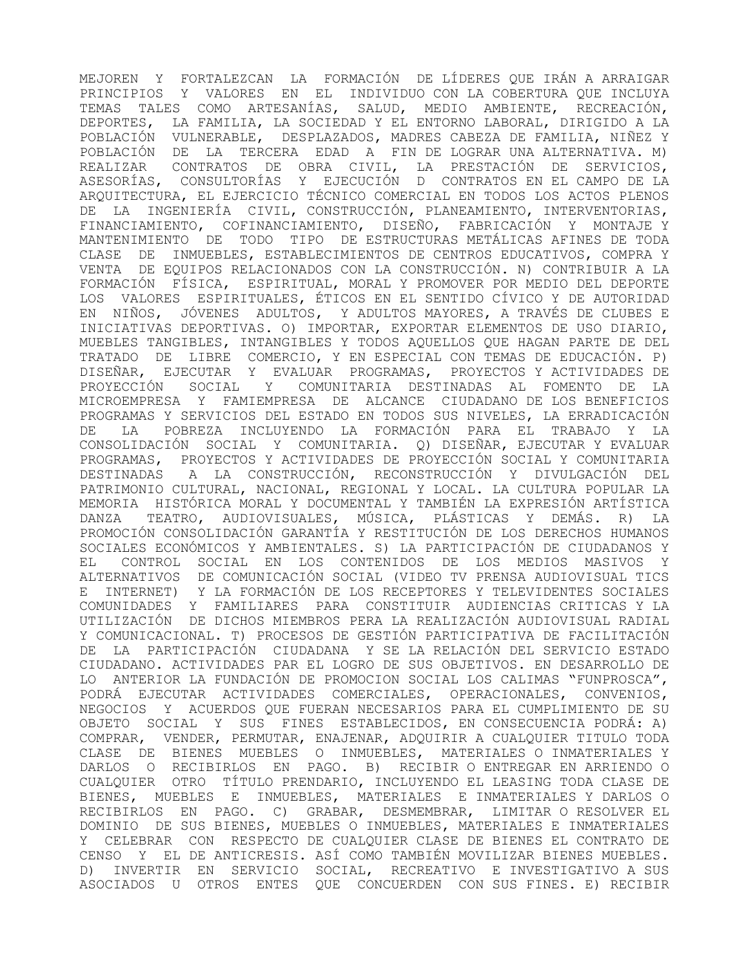MEJOREN Y FORTALEZCAN LA FORMACIÓN DE LÍDERES QUE IRÁN A ARRAIGAR PRINCIPIOS Y VALORES EN EL INDIVIDUO CON LA COBERTURA QUE INCLUYA TEMAS TALES COMO ARTESANÍAS, SALUD, MEDIO AMBIENTE, RECREACIÓN, DEPORTES, LA FAMILIA, LA SOCIEDAD Y EL ENTORNO LABORAL, DIRIGIDO A LA POBLACIÓN VULNERABLE, DESPLAZADOS, MADRES CABEZA DE FAMILIA, NIÑEZ Y POBLACIÓN DE LA TERCERA EDAD A FIN DE LOGRAR UNA ALTERNATIVA. M) REALIZAR CONTRATOS DE OBRA CIVIL, LA PRESTACIÓN DE SERVICIOS, ASESORÍAS, CONSULTORÍAS Y EJECUCIÓN D CONTRATOS EN EL CAMPO DE LA ARQUITECTURA, EL EJERCICIO TÉCNICO COMERCIAL EN TODOS LOS ACTOS PLENOS DE LA INGENIERÍA CIVIL, CONSTRUCCIÓN, PLANEAMIENTO, INTERVENTORIAS, FINANCIAMIENTO, COFINANCIAMIENTO, DISEÑO, FABRICACIÓN Y MONTAJE Y MANTENIMIENTO DE TODO TIPO DE ESTRUCTURAS METÁLICAS AFINES DE TODA CLASE DE INMUEBLES, ESTABLECIMIENTOS DE CENTROS EDUCATIVOS, COMPRA Y VENTA DE EQUIPOS RELACIONADOS CON LA CONSTRUCCIÓN. N) CONTRIBUIR A LA FORMACIÓN FÍSICA, ESPIRITUAL, MORAL Y PROMOVER POR MEDIO DEL DEPORTE LOS VALORES ESPIRITUALES, ÉTICOS EN EL SENTIDO CÍVICO Y DE AUTORIDAD EN NIÑOS, JÓVENES ADULTOS, Y ADULTOS MAYORES, A TRAVÉS DE CLUBES E INICIATIVAS DEPORTIVAS. O) IMPORTAR, EXPORTAR ELEMENTOS DE USO DIARIO, MUEBLES TANGIBLES, INTANGIBLES Y TODOS AQUELLOS QUE HAGAN PARTE DE DEL TRATADO DE LIBRE COMERCIO, Y EN ESPECIAL CON TEMAS DE EDUCACIÓN. P) DISEÑAR, EJECUTAR Y EVALUAR PROGRAMAS, PROYECTOS Y ACTIVIDADES DE PROYECCIÓN SOCIAL Y COMUNITARIA DESTINADAS AL FOMENTO DE LA MICROEMPRESA Y FAMIEMPRESA DE ALCANCE CIUDADANO DE LOS BENEFICIOS PROGRAMAS Y SERVICIOS DEL ESTADO EN TODOS SUS NIVELES, LA ERRADICACIÓN DE LA POBREZA INCLUYENDO LA FORMACIÓN PARA EL TRABAJO Y LA CONSOLIDACIÓN SOCIAL Y COMUNITARIA. Q) DISEÑAR, EJECUTAR Y EVALUAR PROGRAMAS, PROYECTOS Y ACTIVIDADES DE PROYECCIÓN SOCIAL Y COMUNITARIA DESTINADAS A LA CONSTRUCCIÓN, RECONSTRUCCIÓN Y DIVULGACIÓN DEL PATRIMONIO CULTURAL, NACIONAL, REGIONAL Y LOCAL. LA CULTURA POPULAR LA MEMORIA HISTÓRICA MORAL Y DOCUMENTAL Y TAMBIÉN LA EXPRESIÓN ARTÍSTICA DANZA TEATRO, AUDIOVISUALES, MÚSICA, PLÁSTICAS Y DEMÁS. R) LA PROMOCIÓN CONSOLIDACIÓN GARANTÍA Y RESTITUCIÓN DE LOS DERECHOS HUMANOS SOCIALES ECONÓMICOS Y AMBIENTALES. S) LA PARTICIPACIÓN DE CIUDADANOS Y EL CONTROL SOCIAL EN LOS CONTENIDOS DE LOS MEDIOS MASIVOS Y ALTERNATIVOS DE COMUNICACIÓN SOCIAL (VIDEO TV PRENSA AUDIOVISUAL TICS E INTERNET) Y LA FORMACIÓN DE LOS RECEPTORES Y TELEVIDENTES SOCIALES COMUNIDADES Y FAMILIARES PARA CONSTITUIR AUDIENCIAS CRITICAS Y LA UTILIZACIÓN DE DICHOS MIEMBROS PERA LA REALIZACIÓN AUDIOVISUAL RADIAL Y COMUNICACIONAL. T) PROCESOS DE GESTIÓN PARTICIPATIVA DE FACILITACIÓN DE LA PARTICIPACIÓN CIUDADANA Y SE LA RELACIÓN DEL SERVICIO ESTADO CIUDADANO. ACTIVIDADES PAR EL LOGRO DE SUS OBJETIVOS. EN DESARROLLO DE LO ANTERIOR LA FUNDACIÓN DE PROMOCION SOCIAL LOS CALIMAS "FUNPROSCA", PODRÁ EJECUTAR ACTIVIDADES COMERCIALES, OPERACIONALES, CONVENIOS, NEGOCIOS Y ACUERDOS QUE FUERAN NECESARIOS PARA EL CUMPLIMIENTO DE SU OBJETO SOCIAL Y SUS FINES ESTABLECIDOS, EN CONSECUENCIA PODRÁ: A) COMPRAR, VENDER, PERMUTAR, ENAJENAR, ADQUIRIR A CUALQUIER TITULO TODA CLASE DE BIENES MUEBLES O INMUEBLES, MATERIALES O INMATERIALES Y DARLOS O RECIBIRLOS EN PAGO. B) RECIBIR O ENTREGAR EN ARRIENDO O CUALQUIER OTRO TÍTULO PRENDARIO, INCLUYENDO EL LEASING TODA CLASE DE BIENES, MUEBLES E INMUEBLES, MATERIALES E INMATERIALES Y DARLOS O RECIBIRLOS EN PAGO. C) GRABAR, DESMEMBRAR, LIMITAR O RESOLVER EL DOMINIO DE SUS BIENES, MUEBLES O INMUEBLES, MATERIALES E INMATERIALES Y CELEBRAR CON RESPECTO DE CUALQUIER CLASE DE BIENES EL CONTRATO DE CENSO Y EL DE ANTICRESIS. ASÍ COMO TAMBIÉN MOVILIZAR BIENES MUEBLES. D) INVERTIR EN SERVICIO SOCIAL, RECREATIVO E INVESTIGATIVO A SUS ASOCIADOS U OTROS ENTES QUE CONCUERDEN CON SUS FINES. E) RECIBIR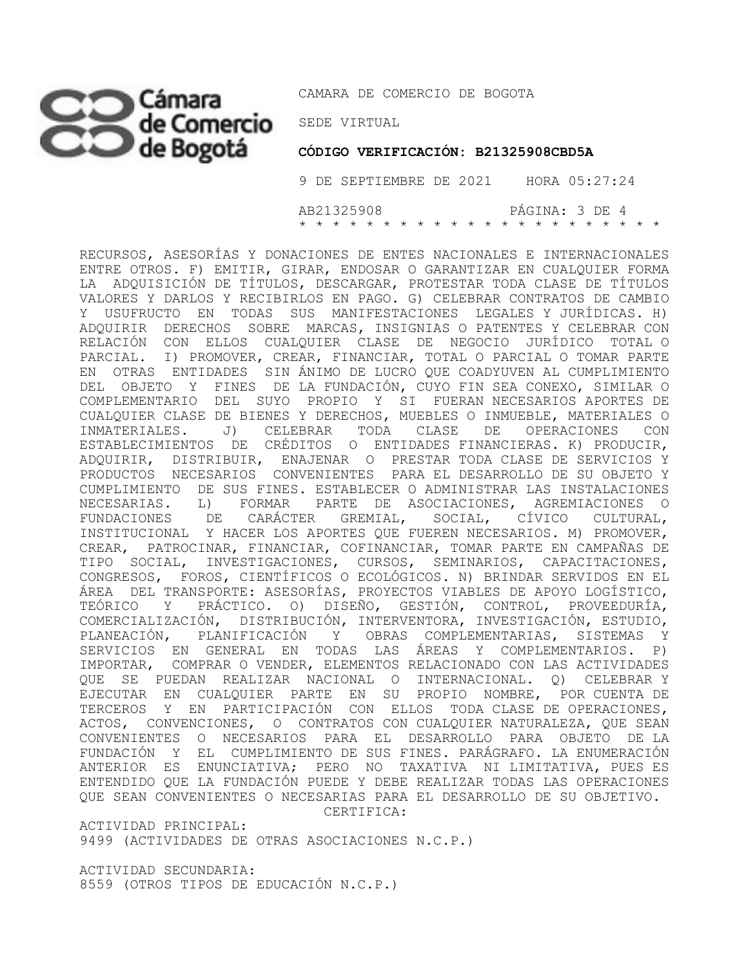# SEDE VIRTUAL

CAMARA DE COMERCIO DE BOGOTA

 **CÓDIGO VERIFICACIÓN: B21325908CBD5A**

 9 DE SEPTIEMBRE DE 2021 HORA 05:27:24 AB21325908 PÁGINA: 3 DE 4 \* \* \* \* \* \* \* \* \* \* \* \* \* \* \* \* \* \* \* \* \* \*

RECURSOS, ASESORÍAS Y DONACIONES DE ENTES NACIONALES E INTERNACIONALES ENTRE OTROS. F) EMITIR, GIRAR, ENDOSAR O GARANTIZAR EN CUALQUIER FORMA LA ADQUISICIÓN DE TÍTULOS, DESCARGAR, PROTESTAR TODA CLASE DE TÍTULOS VALORES Y DARLOS Y RECIBIRLOS EN PAGO. G) CELEBRAR CONTRATOS DE CAMBIO Y USUFRUCTO EN TODAS SUS MANIFESTACIONES LEGALES Y JURÍDICAS. H) ADQUIRIR DERECHOS SOBRE MARCAS, INSIGNIAS O PATENTES Y CELEBRAR CON RELACIÓN CON ELLOS CUALQUIER CLASE DE NEGOCIO JURÍDICO TOTAL O PARCIAL. I) PROMOVER, CREAR, FINANCIAR, TOTAL O PARCIAL O TOMAR PARTE EN OTRAS ENTIDADES SIN ÁNIMO DE LUCRO QUE COADYUVEN AL CUMPLIMIENTO DEL OBJETO Y FINES DE LA FUNDACIÓN, CUYO FIN SEA CONEXO, SIMILAR O COMPLEMENTARIO DEL SUYO PROPIO Y SI FUERAN NECESARIOS APORTES DE CUALQUIER CLASE DE BIENES Y DERECHOS, MUEBLES O INMUEBLE, MATERIALES O INMATERIALES. J) CELEBRAR TODA CLASE DE OPERACIONES CON ESTABLECIMIENTOS DE CRÉDITOS O ENTIDADES FINANCIERAS. K) PRODUCIR, ADQUIRIR, DISTRIBUIR, ENAJENAR O PRESTAR TODA CLASE DE SERVICIOS Y PRODUCTOS NECESARIOS CONVENIENTES PARA EL DESARROLLO DE SU OBJETO Y CUMPLIMIENTO DE SUS FINES. ESTABLECER O ADMINISTRAR LAS INSTALACIONES NECESARIAS. L) FORMAR PARTE DE ASOCIACIONES, AGREMIACIONES O FUNDACIONES DE CARÁCTER GREMIAL, SOCIAL, CÍVICO CULTURAL, INSTITUCIONAL Y HACER LOS APORTES QUE FUEREN NECESARIOS. M) PROMOVER, CREAR, PATROCINAR, FINANCIAR, COFINANCIAR, TOMAR PARTE EN CAMPAÑAS DE TIPO SOCIAL, INVESTIGACIONES, CURSOS, SEMINARIOS, CAPACITACIONES, CONGRESOS, FOROS, CIENTÍFICOS O ECOLÓGICOS. N) BRINDAR SERVIDOS EN EL ÁREA DEL TRANSPORTE: ASESORÍAS, PROYECTOS VIABLES DE APOYO LOGÍSTICO, TEÓRICO Y PRÁCTICO. O) DISEÑO, GESTIÓN, CONTROL, PROVEEDURÍA, COMERCIALIZACIÓN, DISTRIBUCIÓN, INTERVENTORA, INVESTIGACIÓN, ESTUDIO, PLANEACIÓN, PLANIFICACIÓN Y OBRAS COMPLEMENTARIAS, SISTEMAS Y SERVICIOS EN GENERAL EN TODAS LAS ÁREAS Y COMPLEMENTARIOS. P) IMPORTAR, COMPRAR O VENDER, ELEMENTOS RELACIONADO CON LAS ACTIVIDADES QUE SE PUEDAN REALIZAR NACIONAL O INTERNACIONAL. Q) CELEBRAR Y EJECUTAR EN CUALQUIER PARTE EN SU PROPIO NOMBRE, POR CUENTA DE TERCEROS Y EN PARTICIPACIÓN CON ELLOS TODA CLASE DE OPERACIONES, ACTOS, CONVENCIONES, O CONTRATOS CON CUALQUIER NATURALEZA, QUE SEAN CONVENIENTES O NECESARIOS PARA EL DESARROLLO PARA OBJETO DE LA FUNDACIÓN Y EL CUMPLIMIENTO DE SUS FINES. PARÁGRAFO. LA ENUMERACIÓN ANTERIOR ES ENUNCIATIVA; PERO NO TAXATIVA NI LIMITATIVA, PUES ES ENTENDIDO QUE LA FUNDACIÓN PUEDE Y DEBE REALIZAR TODAS LAS OPERACIONES QUE SEAN CONVENIENTES O NECESARIAS PARA EL DESARROLLO DE SU OBJETIVO. CERTIFICA:

ACTIVIDAD PRINCIPAL: 9499 (ACTIVIDADES DE OTRAS ASOCIACIONES N.C.P.)

ACTIVIDAD SECUNDARIA: 8559 (OTROS TIPOS DE EDUCACIÓN N.C.P.)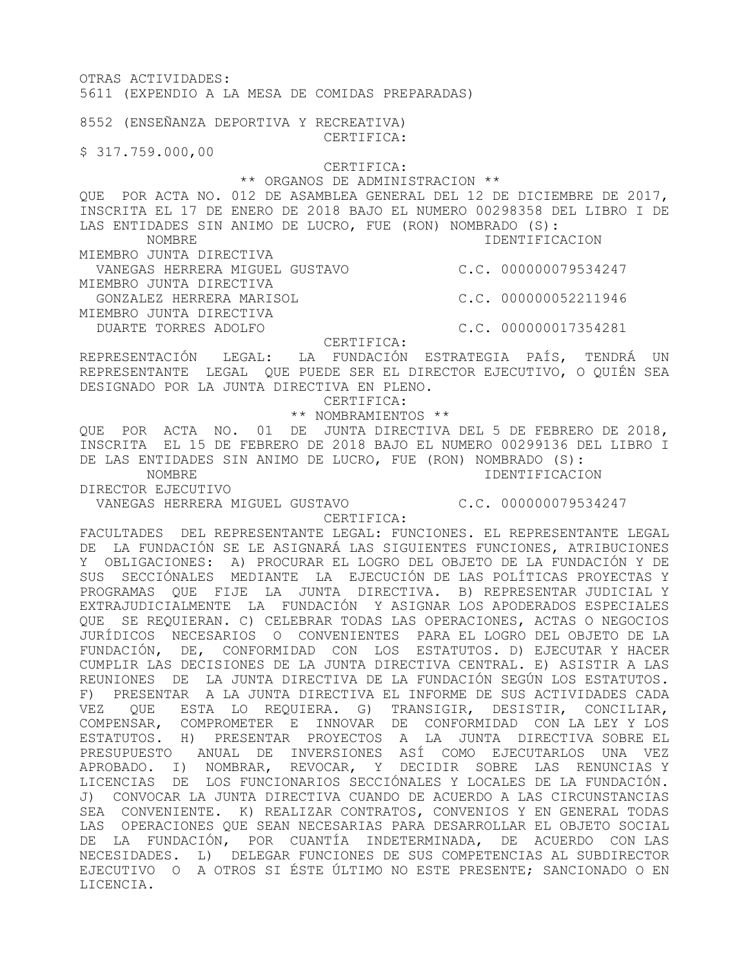OTRAS ACTIVIDADES: 5611 (EXPENDIO A LA MESA DE COMIDAS PREPARADAS) 8552 (ENSEÑANZA DEPORTIVA Y RECREATIVA) CERTIFICA: \$ 317.759.000,00 CERTIFICA: \*\* ORGANOS DE ADMINISTRACION \*\* QUE POR ACTA NO. 012 DE ASAMBLEA GENERAL DEL 12 DE DICIEMBRE DE 2017, INSCRITA EL 17 DE ENERO DE 2018 BAJO EL NUMERO 00298358 DEL LIBRO I DE LAS ENTIDADES SIN ANIMO DE LUCRO, FUE (RON) NOMBRADO (S): NOMBRE IDENTIFICACION MIEMBRO JUNTA DIRECTIVA VANEGAS HERRERA MIGUEL GUSTAVO C.C. 000000079534247 MIEMBRO JUNTA DIRECTIVA GONZALEZ HERRERA MARISOL C.C. 000000052211946 MIEMBRO JUNTA DIRECTIVA DUARTE TORRES ADOLFO C.C. 000000017354281 CERTIFICA: REPRESENTACIÓN LEGAL: LA FUNDACIÓN ESTRATEGIA PAÍS, TENDRÁ UN REPRESENTANTE LEGAL QUE PUEDE SER EL DIRECTOR EJECUTIVO, O QUIÉN SEA DESIGNADO POR LA JUNTA DIRECTIVA EN PLENO. CERTIFICA: \*\* NOMBRAMIENTOS \*\* QUE POR ACTA NO. 01 DE JUNTA DIRECTIVA DEL 5 DE FEBRERO DE 2018, INSCRITA EL 15 DE FEBRERO DE 2018 BAJO EL NUMERO 00299136 DEL LIBRO I DE LAS ENTIDADES SIN ANIMO DE LUCRO, FUE (RON) NOMBRADO (S): NOMBRE IDENTIFICACION DIRECTOR EJECUTIVO VANEGAS HERRERA MIGUEL GUSTAVO C.C. 000000079534247 CERTIFICA: FACULTADES DEL REPRESENTANTE LEGAL: FUNCIONES. EL REPRESENTANTE LEGAL

DE LA FUNDACIÓN SE LE ASIGNARÁ LAS SIGUIENTES FUNCIONES, ATRIBUCIONES Y OBLIGACIONES: A) PROCURAR EL LOGRO DEL OBJETO DE LA FUNDACIÓN Y DE SUS SECCIÓNALES MEDIANTE LA EJECUCIÓN DE LAS POLÍTICAS PROYECTAS Y PROGRAMAS QUE FIJE LA JUNTA DIRECTIVA. B) REPRESENTAR JUDICIAL Y EXTRAJUDICIALMENTE LA FUNDACIÓN Y ASIGNAR LOS APODERADOS ESPECIALES QUE SE REQUIERAN. C) CELEBRAR TODAS LAS OPERACIONES, ACTAS O NEGOCIOS JURÍDICOS NECESARIOS O CONVENIENTES PARA EL LOGRO DEL OBJETO DE LA FUNDACIÓN, DE, CONFORMIDAD CON LOS ESTATUTOS. D) EJECUTAR Y HACER CUMPLIR LAS DECISIONES DE LA JUNTA DIRECTIVA CENTRAL. E) ASISTIR A LAS REUNIONES DE LA JUNTA DIRECTIVA DE LA FUNDACIÓN SEGÚN LOS ESTATUTOS. F) PRESENTAR A LA JUNTA DIRECTIVA EL INFORME DE SUS ACTIVIDADES CADA VEZ QUE ESTA LO REQUIERA. G) TRANSIGIR, DESISTIR, CONCILIAR, COMPENSAR, COMPROMETER E INNOVAR DE CONFORMIDAD CON LA LEY Y LOS ESTATUTOS. H) PRESENTAR PROYECTOS A LA JUNTA DIRECTIVA SOBRE EL PRESUPUESTO ANUAL DE INVERSIONES ASÍ COMO EJECUTARLOS UNA VEZ

APROBADO. I) NOMBRAR, REVOCAR, Y DECIDIR SOBRE LAS RENUNCIAS Y LICENCIAS DE LOS FUNCIONARIOS SECCIÓNALES Y LOCALES DE LA FUNDACIÓN. J) CONVOCAR LA JUNTA DIRECTIVA CUANDO DE ACUERDO A LAS CIRCUNSTANCIAS SEA CONVENIENTE. K) REALIZAR CONTRATOS, CONVENIOS Y EN GENERAL TODAS LAS OPERACIONES QUE SEAN NECESARIAS PARA DESARROLLAR EL OBJETO SOCIAL DE LA FUNDACIÓN, POR CUANTÍA INDETERMINADA, DE ACUERDO CON LAS NECESIDADES. L) DELEGAR FUNCIONES DE SUS COMPETENCIAS AL SUBDIRECTOR EJECUTIVO O A OTROS SI ÉSTE ÚLTIMO NO ESTE PRESENTE; SANCIONADO O EN

LICENCIA.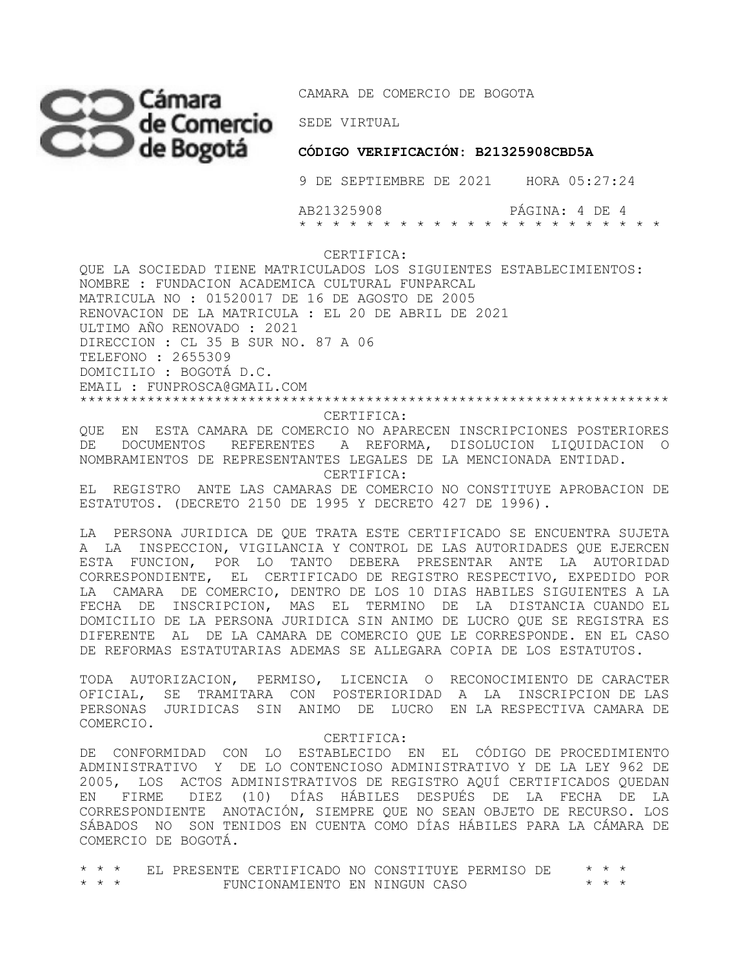

 **CÓDIGO VERIFICACIÓN: B21325908CBD5A**

9 DE SEPTIEMBRE DE 2021 HORA 05:27:24

 AB21325908 PÁGINA: 4 DE 4 \* \* \* \* \* \* \* \* \* \* \* \* \* \* \* \* \* \* \* \* \* \*

CERTIFICA:

QUE LA SOCIEDAD TIENE MATRICULADOS LOS SIGUIENTES ESTABLECIMIENTOS: NOMBRE : FUNDACION ACADEMICA CULTURAL FUNPARCAL MATRICULA NO : 01520017 DE 16 DE AGOSTO DE 2005 RENOVACION DE LA MATRICULA : EL 20 DE ABRIL DE 2021 ULTIMO AÑO RENOVADO : 2021 DIRECCION : CL 35 B SUR NO. 87 A 06 TELEFONO : 2655309 DOMICILIO : BOGOTÁ D.C. EMAIL : FUNPROSCA@GMAIL.COM \*\*\*\*\*\*\*\*\*\*\*\*\*\*\*\*\*\*\*\*\*\*\*\*\*\*\*\*\*\*\*\*\*\*\*\*\*\*\*\*\*\*\*\*\*\*\*\*\*\*\*\*\*\*\*\*\*\*\*\*\*\*\*\*\*\*\*\*\*\*

### CERTIFICA:

QUE EN ESTA CAMARA DE COMERCIO NO APARECEN INSCRIPCIONES POSTERIORES DE DOCUMENTOS REFERENTES A REFORMA, DISOLUCION LIQUIDACION O NOMBRAMIENTOS DE REPRESENTANTES LEGALES DE LA MENCIONADA ENTIDAD. CERTIFICA:

EL REGISTRO ANTE LAS CAMARAS DE COMERCIO NO CONSTITUYE APROBACION DE ESTATUTOS. (DECRETO 2150 DE 1995 Y DECRETO 427 DE 1996).

LA PERSONA JURIDICA DE QUE TRATA ESTE CERTIFICADO SE ENCUENTRA SUJETA A LA INSPECCION, VIGILANCIA Y CONTROL DE LAS AUTORIDADES QUE EJERCEN ESTA FUNCION, POR LO TANTO DEBERA PRESENTAR ANTE LA AUTORIDAD CORRESPONDIENTE, EL CERTIFICADO DE REGISTRO RESPECTIVO, EXPEDIDO POR LA CAMARA DE COMERCIO, DENTRO DE LOS 10 DIAS HABILES SIGUIENTES A LA FECHA DE INSCRIPCION, MAS EL TERMINO DE LA DISTANCIA CUANDO EL DOMICILIO DE LA PERSONA JURIDICA SIN ANIMO DE LUCRO QUE SE REGISTRA ES DIFERENTE AL DE LA CAMARA DE COMERCIO QUE LE CORRESPONDE. EN EL CASO DE REFORMAS ESTATUTARIAS ADEMAS SE ALLEGARA COPIA DE LOS ESTATUTOS.

TODA AUTORIZACION, PERMISO, LICENCIA O RECONOCIMIENTO DE CARACTER OFICIAL, SE TRAMITARA CON POSTERIORIDAD A LA INSCRIPCION DE LAS PERSONAS JURIDICAS SIN ANIMO DE LUCRO EN LA RESPECTIVA CAMARA DE COMERCIO.

# CERTIFICA:

DE CONFORMIDAD CON LO ESTABLECIDO EN EL CÓDIGO DE PROCEDIMIENTO ADMINISTRATIVO Y DE LO CONTENCIOSO ADMINISTRATIVO Y DE LA LEY 962 DE 2005, LOS ACTOS ADMINISTRATIVOS DE REGISTRO AQUÍ CERTIFICADOS QUEDAN EN FIRME DIEZ (10) DÍAS HÁBILES DESPUÉS DE LA FECHA DE LA CORRESPONDIENTE ANOTACIÓN, SIEMPRE QUE NO SEAN OBJETO DE RECURSO. LOS SÁBADOS NO SON TENIDOS EN CUENTA COMO DÍAS HÁBILES PARA LA CÁMARA DE COMERCIO DE BOGOTÁ.

|                         |  | * * * EL PRESENTE CERTIFICADO NO CONSTITUYE PERMISO DE |  |  | * * * |  |
|-------------------------|--|--------------------------------------------------------|--|--|-------|--|
| $\star$ $\star$ $\star$ |  | FUNCIONAMIENTO EN NINGUN CASO                          |  |  | * * * |  |